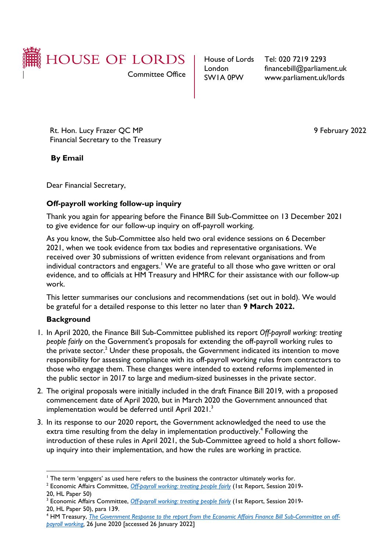

London SW1A 0PW

House of Lords Tel: 020 7219 2293 financebill@parliament.uk www.parliament.uk/lords

Rt. Hon. Lucy Frazer QC MP Financial Secretary to the Treasury

 **By Email**

9 February 2022

Dear Financial Secretary,

## **Off-payroll working follow-up inquiry**

Thank you again for appearing before the Finance Bill Sub-Committee on 13 December 2021 to give evidence for our follow-up inquiry on off-payroll working.

As you know, the Sub-Committee also held two oral evidence sessions on 6 December 2021, when we took evidence from tax bodies and representative organisations. We received over 30 submissions of written evidence from relevant organisations and from individual contractors and engagers.<sup>1</sup> We are grateful to all those who gave written or oral evidence, and to officials at HM Treasury and HMRC for their assistance with our follow-up work.

This letter summarises our conclusions and recommendations (set out in bold). We would be grateful for a detailed response to this letter no later than **9 March 2022.**

## **Background**

- 1. In April 2020, the Finance Bill Sub-Committee published its report *Off-payroll working: treating people fairly* on the Government's proposals for extending the off-payroll working rules to the private sector.<sup>2</sup> Under these proposals, the Government indicated its intention to move responsibility for assessing compliance with its off-payroll working rules from contractors to those who engage them. These changes were intended to extend reforms implemented in the public sector in 2017 to large and medium-sized businesses in the private sector.
- 2. The original proposals were initially included in the draft Finance Bill 2019, with a proposed commencement date of April 2020, but in March 2020 the Government announced that implementation would be deferred until April 2021.<sup>3</sup>
- 3. In its response to our 2020 report, the Government acknowledged the need to use the extra time resulting from the delay in implementation productively.<sup>4</sup> Following the introduction of these rules in April 2021, the Sub-Committee agreed to hold a short followup inquiry into their implementation, and how the rules are working in practice.

<sup>1</sup> The term 'engagers' as used here refers to the business the contractor ultimately works for.

<sup>2</sup> Economic Affairs Committee, *[Off-payroll working: treating people fairly](https://publications.parliament.uk/pa/ld5801/ldselect/ldeconaf/50/5002.htm)* (1st Report, Session 2019- 20, HL Paper 50)

<sup>&</sup>lt;sup>3</sup> Economic Affairs Committee, *[Off-payroll working: treating people fairly](https://publications.parliament.uk/pa/ld5801/ldselect/ldeconaf/50/5002.htm)* (1st Report, Session 2019-20, HL Paper 50), para 139.

<sup>4</sup> HM Treasury, *[The Government Response to the report from the Economic Affairs Finance Bill Sub-Committee on off](https://committees.parliament.uk/publications/1873/documents/18378/default/)[payroll working,](https://committees.parliament.uk/publications/1873/documents/18378/default/)* 26 June 2020 [accessed 26 January 2022]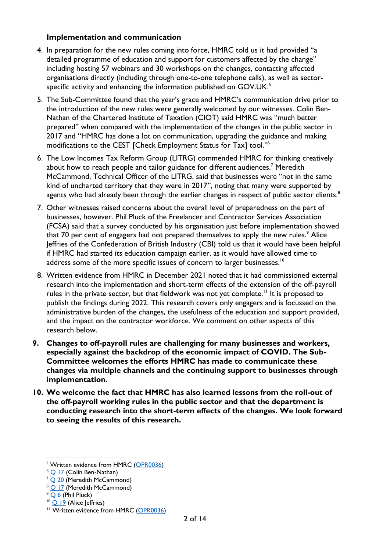#### **Implementation and communication**

- 4. In preparation for the new rules coming into force, HMRC told us it had provided "a detailed programme of education and support for customers affected by the change" including hosting 57 webinars and 30 workshops on the changes, contacting affected organisations directly (including through one-to-one telephone calls), as well as sectorspecific activity and enhancing the information published on GOV.UK. $^{\rm 5}$
- 5. The Sub-Committee found that the year's grace and HMRC's communication drive prior to the introduction of the new rules were generally welcomed by our witnesses. Colin Ben-Nathan of the Chartered Institute of Taxation (CIOT) said HMRC was "much better prepared" when compared with the implementation of the changes in the public sector in 2017 and "HMRC has done a lot on communication, upgrading the guidance and making modifications to the CEST [Check Employment Status for Tax] tool."<sup>6</sup>
- 6. The Low Incomes Tax Reform Group (LITRG) commended HMRC for thinking creatively about how to reach people and tailor guidance for different audiences.<sup>7</sup> Meredith McCammond, Technical Officer of the LITRG, said that businesses were "not in the same kind of uncharted territory that they were in 2017", noting that many were supported by agents who had already been through the earlier changes in respect of public sector clients.<sup>8</sup>
- 7. Other witnesses raised concerns about the overall level of preparedness on the part of businesses, however. Phil Pluck of the Freelancer and Contractor Services Association (FCSA) said that a survey conducted by his organisation just before implementation showed that 70 per cent of engagers had not prepared themselves to apply the new rules.<sup>9</sup> Alice Jeffries of the Confederation of British Industry (CBI) told us that it would have been helpful if HMRC had started its education campaign earlier, as it would have allowed time to address some of the more specific issues of concern to larger businesses.<sup>10</sup>
- 8. Written evidence from HMRC in December 2021 noted that it had commissioned external research into the implementation and short-term effects of the extension of the off-payroll rules in the private sector, but that fieldwork was not yet complete.<sup>11</sup> It is proposed to publish the findings during 2022. This research covers only engagers and is focussed on the administrative burden of the changes, the usefulness of the education and support provided, and the impact on the contractor workforce. We comment on other aspects of this research below.
- **9. Changes to off-payroll rules are challenging for many businesses and workers, especially against the backdrop of the economic impact of COVID. The Sub-Committee welcomes the efforts HMRC has made to communicate these changes via multiple channels and the continuing support to businesses through implementation.**
- **10. We welcome the fact that HMRC has also learned lessons from the roll-out of the off-payroll working rules in the public sector and that the department is conducting research into the short-term effects of the changes. We look forward to seeing the results of this research.**

<sup>&</sup>lt;sup>5</sup> Written evidence from HMRC [\(OPR0036\)](https://committees.parliament.uk/writtenevidence/40990/html/)

 $6$  Q [17](https://committees.parliament.uk/oralevidence/3151/html/) (Colin Ben-Nathan)

<sup>&</sup>lt;sup>7</sup> Q [20](https://committees.parliament.uk/oralevidence/3151/html/) (Meredith McCammond)

 $8 \overline{Q}$  [17](https://committees.parliament.uk/oralevidence/3151/html/) (Meredith McCammond)

 $9$   $Q$  6 (Phil Pluck)

 $10$  Q  $19$  (Alice Jeffries)

<sup>&</sup>lt;sup>11</sup> Written evidence from HMRC [\(OPR0036\)](https://committees.parliament.uk/writtenevidence/40990/html/)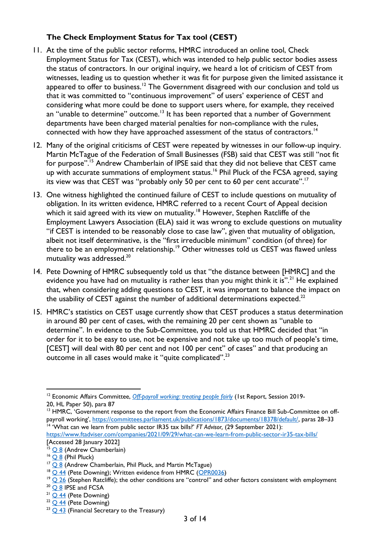# **The Check Employment Status for Tax tool (CEST)**

- 11. At the time of the public sector reforms, HMRC introduced an online tool, Check Employment Status for Tax (CEST), which was intended to help public sector bodies assess the status of contractors. In our original inquiry, we heard a lot of criticism of CEST from witnesses, leading us to question whether it was fit for purpose given the limited assistance it appeared to offer to business.<sup>12</sup> The Government disagreed with our conclusion and told us that it was committed to "continuous improvement" of users' experience of CEST and considering what more could be done to support users where, for example, they received an "unable to determine" outcome.<sup>13</sup> It has been reported that a number of Government departments have been charged material penalties for non-compliance with the rules, connected with how they have approached assessment of the status of contractors.<sup>14</sup>
- 12. Many of the original criticisms of CEST were repeated by witnesses in our follow-up inquiry. Martin McTague of the Federation of Small Businesses (FSB) said that CEST was still "not fit for purpose". <sup>15</sup> Andrew Chamberlain of IPSE said that they did not believe that CEST came up with accurate summations of employment status.<sup>16</sup> Phil Pluck of the FCSA agreed, saying its view was that CEST was "probably only 50 per cent to 60 per cent accurate".<sup>17</sup>
- 13. One witness highlighted the continued failure of CEST to include questions on mutuality of obligation. In its written evidence, HMRC referred to a recent Court of Appeal decision which it said agreed with its view on mutuality.<sup>18</sup> However, Stephen Ratcliffe of the Employment Lawyers Association (ELA) said it was wrong to exclude questions on mutuality "if CEST is intended to be reasonably close to case law", given that mutuality of obligation, albeit not itself determinative, is the "first irreducible minimum" condition (of three) for there to be an employment relationship.<sup>19</sup> Other witnesses told us CEST was flawed unless mutuality was addressed.<sup>20</sup>
- 14. Pete Downing of HMRC subsequently told us that "the distance between [HMRC] and the evidence you have had on mutuality is rather less than you might think it is".<sup>21</sup> He explained that, when considering adding questions to CEST, it was important to balance the impact on the usability of CEST against the number of additional determinations expected. $^{22}$
- 15. HMRC's statistics on CEST usage currently show that CEST produces a status determination in around 80 per cent of cases, with the remaining 20 per cent shown as "unable to determine". In evidence to the Sub-Committee, you told us that HMRC decided that "in order for it to be easy to use, not be expensive and not take up too much of people's time, [CEST] will deal with 80 per cent and not 100 per cent" of cases" and that producing an outcome in all cases would make it "quite complicated".<sup>23</sup>

<sup>&</sup>lt;sup>12</sup> Economic Affairs Committee, *[Off-payroll working: treating people fairly](https://publications.parliament.uk/pa/ld5801/ldselect/ldeconaf/50/5002.htm)* (1st Report, Session 2019-20, HL Paper 50), para 87

<sup>&</sup>lt;sup>13</sup> HMRC, 'Government response to the report from the Economic Affairs Finance Bill Sub-Committee on offpayroll working', [https://committees.parliament.uk/publications/1873/documents/18378/default/,](https://committees.parliament.uk/publications/1873/documents/18378/default/) paras 28-33 <sup>14</sup> 'What can we learn from public sector IR35 tax bills?' *FT Advisor*, (29 September 2021):

<https://www.ftadviser.com/companies/2021/09/29/what-can-we-learn-from-public-sector-ir35-tax-bills/> [Accessed 28 January 2022]

<sup>&</sup>lt;sup>15</sup> [Q](https://committees.parliament.uk/oralevidence/3150/html/) 8 (Andrew Chamberlain)

 $16$  [Q 8](https://committees.parliament.uk/oralevidence/3150/html/) (Phil Pluck)

 $17$   $\overline{\bigcirc}$  8 (Andrew Chamberlain, Phil Pluck, and Martin McTague)

<sup>&</sup>lt;sup>18</sup> Q [44](https://committees.parliament.uk/oralevidence/3207/html/) (Pete Downing); Written evidence from HMRC [\(OPR0036\)](https://committees.parliament.uk/writtenevidence/40990/html/)

 $19$   $\frac{19}{26}$  $\frac{19}{26}$  $\frac{19}{26}$  (Stephen Ratcliffe); the other conditions are "control" and other factors consistent with employment

<sup>&</sup>lt;sup>20</sup> [Q](https://committees.parliament.uk/oralevidence/3150/html/) 8 IPSE and FCSA

 $21$  O [44](https://committees.parliament.uk/oralevidence/3207/html/) (Pete Downing)

 $22$   $\overline{Q$  [44](https://committees.parliament.uk/oralevidence/3207/html/) (Pete Downing)

 $23$  Q [43](https://committees.parliament.uk/oralevidence/3207/html/) (Financial Secretary to the Treasury)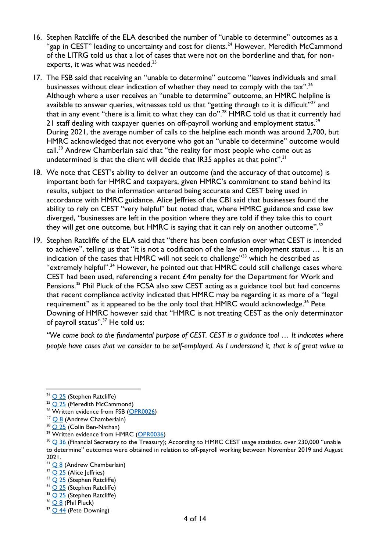- 16. Stephen Ratcliffe of the ELA described the number of "unable to determine" outcomes as a "gap in CEST" leading to uncertainty and cost for clients.<sup>24</sup> However, Meredith McCammond of the LITRG told us that a lot of cases that were not on the borderline and that, for nonexperts, it was what was needed. $^{25}$
- 17. The FSB said that receiving an "unable to determine" outcome "leaves individuals and small businesses without clear indication of whether they need to comply with the tax".<sup>26</sup> Although where a user receives an "unable to determine" outcome, an HMRC helpline is available to answer queries, witnesses told us that "getting through to it is difficult"<sup>27</sup> and that in any event "there is a limit to what they can do".<sup>28</sup> <code>HMRC</code> told us that it currently had <code>21</code> staff dealing with taxpayer queries on off-payroll working and employment status. $^{29}$ During 2021, the average number of calls to the helpline each month was around 2,700, but HMRC acknowledged that not everyone who got an "unable to determine" outcome would call.<sup>30</sup> Andrew Chamberlain said that "the reality for most people who come out as undetermined is that the client will decide that  $IR35$  applies at that point".<sup>31</sup>
- 18. We note that CEST's ability to deliver an outcome (and the accuracy of that outcome) is important both for HMRC and taxpayers, given HMRC's commitment to stand behind its results, subject to the information entered being accurate and CEST being used in accordance with HMRC guidance. Alice Jeffries of the CBI said that businesses found the ability to rely on CEST "very helpful" but noted that, where HMRC guidance and case law diverged, "businesses are left in the position where they are told if they take this to court they will get one outcome, but HMRC is saying that it can rely on another outcome".<sup>32</sup>
- 19. Stephen Ratcliffe of the ELA said that "there has been confusion over what CEST is intended to achieve", telling us that "it is not a codification of the law on employment status … It is an indication of the cases that HMRC will not seek to challenge"<sup>33</sup> which he described as "extremely helpful".<sup>34</sup> However, he pointed out that HMRC could still challenge cases where CEST had been used, referencing a recent £4m penalty for the Department for Work and Pensions.<sup>35</sup> Phil Pluck of the FCSA also saw CEST acting as a guidance tool but had concerns that recent compliance activity indicated that HMRC may be regarding it as more of a "legal requirement" as it appeared to be the only tool that HMRC would acknowledge.<sup>36</sup> Pete Downing of HMRC however said that "HMRC is not treating CEST as the only determinator of payroll status".<sup>37</sup> He told us:

*"We come back to the fundamental purpose of CEST. CEST is a guidance tool … It indicates where people have cases that we consider to be self-employed. As I understand it, that is of great value to* 

 $28$  Q [25](https://committees.parliament.uk/oralevidence/3151/html/) (Colin Ben-Nathan)

<sup>31</sup> O 8 (Andrew Chamberlain)

- <sup>33</sup> Q [25](https://committees.parliament.uk/oralevidence/3151/html/) (Stephen Ratcliffe)
- <sup>34</sup> Q [25](https://committees.parliament.uk/oralevidence/3151/html/) (Stephen Ratcliffe)

 $24$   $\overline{\bigcirc}$  [25](https://committees.parliament.uk/oralevidence/3151/html/) (Stephen Ratcliffe)

 $25$  Q 25 (Meredith McCammond)

<sup>&</sup>lt;sup>26</sup> Written evidence from FSB [\(OPR0026\)](https://committees.parliament.uk/writtenevidence/40909/html/)

 $27$  [Q](https://committees.parliament.uk/oralevidence/3150/html/) 8 (Andrew Chamberlain)

<sup>&</sup>lt;sup>29</sup> Written evidence from HMRC [\(OPR0036\)](https://committees.parliament.uk/writtenevidence/40990/html/)

 $30$  Q [36](https://committees.parliament.uk/oralevidence/3207/html/) (Financial Secretary to the Treasury); According to HMRC CEST usage statistics. over 230,000 "unable to determine" outcomes were obtained in relation to off-payroll working between November 2019 and August 2021.

 $32$   $\overline{\text{O}$   $25}$  $25}$  (Alice Jeffries)

<sup>&</sup>lt;sup>35</sup> Q [25](https://committees.parliament.uk/oralevidence/3151/html/) (Stephen Ratcliffe)

 $36$  [Q](https://committees.parliament.uk/oralevidence/3150/html/) 8 (Phil Pluck)

<sup>&</sup>lt;sup>37</sup> Q [44](https://committees.parliament.uk/oralevidence/3207/html/) (Pete Downing)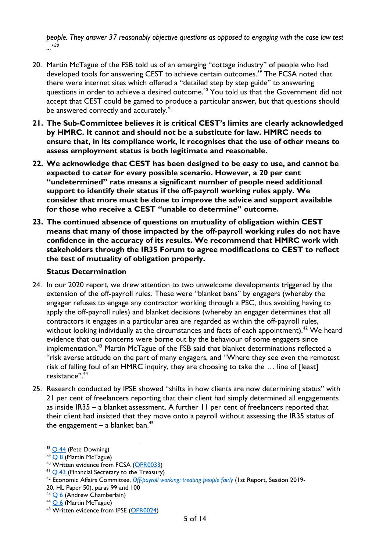*people. They answer 37 reasonably objective questions as opposed to engaging with the case law test ..."<sup>38</sup>*

- 20. Martin McTague of the FSB told us of an emerging "cottage industry" of people who had developed tools for answering CEST to achieve certain outcomes. <sup>39</sup> The FCSA noted that there were internet sites which offered a "detailed step by step guide" to answering questions in order to achieve a desired outcome.<sup>40</sup> You told us that the Government did not accept that CEST could be gamed to produce a particular answer, but that questions should be answered correctly and accurately.<sup>41</sup>
- **21. The Sub-Committee believes it is critical CEST's limits are clearly acknowledged by HMRC. It cannot and should not be a substitute for law. HMRC needs to ensure that, in its compliance work, it recognises that the use of other means to assess employment status is both legitimate and reasonable.**
- **22. We acknowledge that CEST has been designed to be easy to use, and cannot be expected to cater for every possible scenario. However, a 20 per cent "undetermined" rate means a significant number of people need additional support to identify their status if the off-payroll working rules apply. We consider that more must be done to improve the advice and support available for those who receive a CEST "unable to determine" outcome.**
- **23. The continued absence of questions on mutuality of obligation within CEST means that many of those impacted by the off-payroll working rules do not have confidence in the accuracy of its results. We recommend that HMRC work with stakeholders through the IR35 Forum to agree modifications to CEST to reflect the test of mutuality of obligation properly.**

#### **Status Determination**

- 24. In our 2020 report, we drew attention to two unwelcome developments triggered by the extension of the off-payroll rules. These were "blanket bans" by engagers (whereby the engager refuses to engage any contractor working through a PSC, thus avoiding having to apply the off-payroll rules) and blanket decisions (whereby an engager determines that all contractors it engages in a particular area are regarded as within the off-payroll rules, without looking individually at the circumstances and facts of each appointment).<sup>42</sup> We heard evidence that our concerns were borne out by the behaviour of some engagers since implementation.<sup>43</sup> Martin McTague of the FSB said that blanket determinations reflected a "risk averse attitude on the part of many engagers, and "Where they see even the remotest risk of falling foul of an HMRC inquiry, they are choosing to take the … line of [least] resistance".<sup>4</sup>
- 25. Research conducted by IPSE showed "shifts in how clients are now determining status" with 21 per cent of freelancers reporting that their client had simply determined all engagements as inside IR35 – a blanket assessment. A further 11 per cent of freelancers reported that their client had insisted that they move onto a payroll without assessing the IR35 status of the engagement – a blanket ban.<sup>45</sup>

20, HL Paper 50), paras 99 and 100

<sup>&</sup>lt;sup>38</sup> [Q 44](https://committees.parliament.uk/oralevidence/3207/html/) (Pete Downing)

<sup>&</sup>lt;sup>39</sup> [Q](https://committees.parliament.uk/oralevidence/3150/html/) 8 (Martin McTague)

<sup>40</sup> Written evidence from FCSA [\(OPR0033\)](https://committees.parliament.uk/writtenevidence/40948/html/)

 $41$  Q [43](https://committees.parliament.uk/oralevidence/3207/html/) (Financial Secretary to the Treasury)

<sup>42</sup> Economic Affairs Committee, *[Off-payroll working: treating people fairly](https://publications.parliament.uk/pa/ld5801/ldselect/ldeconaf/50/5002.htm)* (1st Report, Session 2019-

<sup>&</sup>lt;sup>43</sup> [Q](https://committees.parliament.uk/oralevidence/3150/html/) 6 (Andrew Chamberlain)

 $44$  [Q](https://committees.parliament.uk/oralevidence/3150/html/) 6 (Martin McTague)

<sup>&</sup>lt;sup>45</sup> Written evidence from IPSE [\(OPR0024\)](https://committees.parliament.uk/writtenevidence/40906/html/)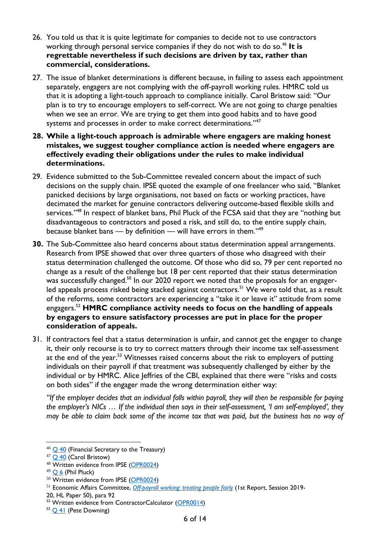- 26. You told us that it is quite legitimate for companies to decide not to use contractors working through personal service companies if they do not wish to do so.<sup>46</sup> It is **regrettable nevertheless if such decisions are driven by tax, rather than commercial, considerations.**
- 27. The issue of blanket determinations is different because, in failing to assess each appointment separately, engagers are not complying with the off-payroll working rules. HMRC told us that it is adopting a light-touch approach to compliance initially. Carol Bristow said: "Our plan is to try to encourage employers to self-correct. We are not going to charge penalties when we see an error. We are trying to get them into good habits and to have good systems and processes in order to make correct determinations."<sup>47</sup>
- **28. While a light-touch approach is admirable where engagers are making honest mistakes, we suggest tougher compliance action is needed where engagers are effectively evading their obligations under the rules to make individual determinations.**
- 29. Evidence submitted to the Sub-Committee revealed concern about the impact of such decisions on the supply chain. IPSE quoted the example of one freelancer who said, "Blanket panicked decisions by large organisations, not based on facts or working practices, have decimated the market for genuine contractors delivering outcome-based flexible skills and services."<sup>48</sup> In respect of blanket bans, Phil Pluck of the FCSA said that they are "nothing but disadvantageous to contractors and posed a risk, and still do, to the entire supply chain, because blanket bans  $-$  by definition  $-$  will have errors in them."<sup>49</sup>
- **30.** The Sub-Committee also heard concerns about status determination appeal arrangements. Research from IPSE showed that over three quarters of those who disagreed with their status determination challenged the outcome. Of those who did so, 79 per cent reported no change as a result of the challenge but 18 per cent reported that their status determination was successfully changed.<sup>50</sup> In our 2020 report we noted that the proposals for an engagerled appeals process risked being stacked against contractors.<sup>51</sup> We were told that, as a result of the reforms, some contractors are experiencing a "take it or leave it" attitude from some engagers.<sup>52</sup> **HMRC compliance activity needs to focus on the handling of appeals by engagers to ensure satisfactory processes are put in place for the proper consideration of appeals.**
- 31. If contractors feel that a status determination is unfair, and cannot get the engager to change it, their only recourse is to try to correct matters through their income tax self-assessment at the end of the year.<sup>53</sup> Witnesses raised concerns about the risk to employers of putting individuals on their payroll if that treatment was subsequently challenged by either by the individual or by HMRC. Alice Jeffries of the CBI, explained that there were "risks and costs on both sides" if the engager made the wrong determination either way:

*"If the employer decides that an individual falls within payroll, they will then be responsible for paying the employer's NICs … If the individual then says in their self-assessment, 'I am self-employed', they may be able to claim back some of the income tax that was paid, but the business has no way of* 

 $46$  Q [40](https://committees.parliament.uk/oralevidence/3207/html/) (Financial Secretary to the Treasury)

<sup>&</sup>lt;sup>47</sup> Q [40](https://committees.parliament.uk/oralevidence/3207/html/) (Carol Bristow)

<sup>48</sup> Written evidence from IPSE [\(OPR0024\)](https://committees.parliament.uk/writtenevidence/40906/html/)

 $49$  O 6 (Phil Pluck)

<sup>&</sup>lt;sup>50</sup> Written evidence from IPSE [\(OPR0024\)](https://committees.parliament.uk/writtenevidence/40906/html/)

<sup>51</sup> Economic Affairs Committee, *[Off-payroll working: treating people fairly](https://publications.parliament.uk/pa/ld5801/ldselect/ldeconaf/50/5002.htm)* (1st Report, Session 2019-

<sup>20,</sup> HL Paper 50), para 92

<sup>&</sup>lt;sup>52</sup> Written evidence from ContractorCalculator [\(OPR0014\)](https://committees.parliament.uk/writtenevidence/40846/html/)

<sup>53</sup> Q [41](https://committees.parliament.uk/oralevidence/3207/html/) (Pete Downing)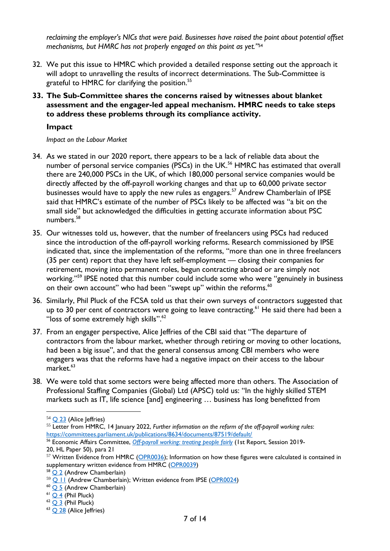*reclaiming the employer's NICs that were paid. Businesses have raised the point about potential offset mechanisms, but HMRC has not properly engaged on this point as yet."*<sup>54</sup>

- 32. We put this issue to HMRC which provided a detailed response setting out the approach it will adopt to unravelling the results of incorrect determinations. The Sub-Committee is grateful to HMRC for clarifying the position.<sup>55</sup>
- **33. The Sub-Committee shares the concerns raised by witnesses about blanket assessment and the engager-led appeal mechanism. HMRC needs to take steps to address these problems through its compliance activity.**

#### **Impact**

#### *Impact on the Labour Market*

- 34. As we stated in our 2020 report, there appears to be a lack of reliable data about the number of personal service companies (PSCs) in the UK.<sup>56</sup> HMRC has estimated that overall there are 240,000 PSCs in the UK, of which 180,000 personal service companies would be directly affected by the off-payroll working changes and that up to 60,000 private sector businesses would have to apply the new rules as engagers.<sup>57</sup> Andrew Chamberlain of IPSE said that HMRC's estimate of the number of PSCs likely to be affected was "a bit on the small side" but acknowledged the difficulties in getting accurate information about PSC numbers.<sup>58</sup>
- 35. Our witnesses told us, however, that the number of freelancers using PSCs had reduced since the introduction of the off-payroll working reforms. Research commissioned by IPSE indicated that, since the implementation of the reforms, "more than one in three freelancers (35 per cent) report that they have left self-employment — closing their companies for retirement, moving into permanent roles, begun contracting abroad or are simply not working."<sup>59</sup> IPSE noted that this number could include some who were "genuinely in business on their own account" who had been "swept up" within the reforms.<sup>60</sup>
- 36. Similarly, Phil Pluck of the FCSA told us that their own surveys of contractors suggested that up to 30 per cent of contractors were going to leave contracting.<sup>61</sup> He said there had been a "loss of some extremely high skills". $^{62}$
- 37. From an engager perspective, Alice Jeffries of the CBI said that "The departure of contractors from the labour market, whether through retiring or moving to other locations, had been a big issue", and that the general consensus among CBI members who were engagers was that the reforms have had a negative impact on their access to the labour  $market.<sup>63</sup>$
- 38. We were told that some sectors were being affected more than others. The Association of Professional Staffing Companies (Global) Ltd (APSC) told us: "In the highly skilled STEM markets such as IT, life science [and] engineering … business has long benefitted from

<sup>55</sup> Letter from HMRC, 14 January 2022, *Further information on the reform of the off-payroll working rules*: <https://committees.parliament.uk/publications/8634/documents/87519/default/>

 $54$  O [23](https://committees.parliament.uk/oralevidence/3151/html/) (Alice Jeffries)

<sup>56</sup> Economic Affairs Committee, *[Off-payroll working: treating people fairly](https://publications.parliament.uk/pa/ld5801/ldselect/ldeconaf/50/5002.htm)* (1st Report, Session 2019- 20, HL Paper 50), para 21

 $57$  Written Evidence from HMRC [\(OPR0036\)](https://committees.parliament.uk/writtenevidence/40990/html/); Information on how these figures were calculated is contained in supplementary written evidence from HMRC [\(OPR0039\)](https://committees.parliament.uk/writtenevidence/41688/html/)

<sup>58</sup> [Q](https://committees.parliament.uk/oralevidence/3150/html/) 2 (Andrew Chamberlain)

<sup>59</sup> Q [11](https://committees.parliament.uk/oralevidence/3150/html/) (Andrew Chamberlain); Written evidence from IPSE [\(OPR0024\)](https://committees.parliament.uk/writtenevidence/40906/html/)

<sup>&</sup>lt;sup>60</sup> [Q](https://committees.parliament.uk/oralevidence/3150/html/) 5 (Andrew Chamberlain)

 $61$  O 4 (Phil Pluck)

 $62$  [Q](https://committees.parliament.uk/oralevidence/3150/html/) 3 (Phil Pluck)

<sup>&</sup>lt;sup>63</sup> Q [28](https://committees.parliament.uk/oralevidence/3151/html/) (Alice Jeffries)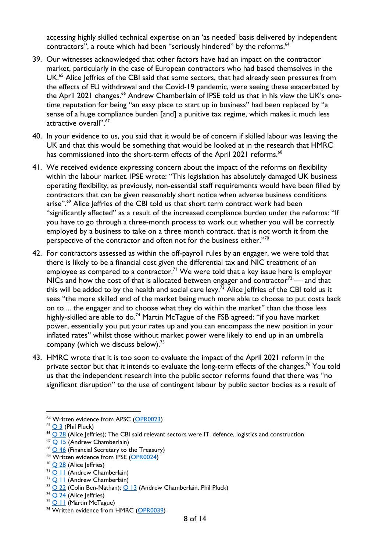accessing highly skilled technical expertise on an 'as needed' basis delivered by independent contractors", a route which had been "seriously hindered" by the reforms.<sup>64</sup>

- 39. Our witnesses acknowledged that other factors have had an impact on the contractor market, particularly in the case of European contractors who had based themselves in the UK.<sup>65</sup> Alice Jeffries of the CBI said that some sectors, that had already seen pressures from the effects of EU withdrawal and the Covid-19 pandemic, were seeing these exacerbated by the April 2021 changes.<sup>66</sup> Andrew Chamberlain of IPSE told us that in his view the UK's onetime reputation for being "an easy place to start up in business" had been replaced by "a sense of a huge compliance burden [and] a punitive tax regime, which makes it much less attractive overall".<sup>67</sup>
- 40. In your evidence to us, you said that it would be of concern if skilled labour was leaving the UK and that this would be something that would be looked at in the research that HMRC has commissioned into the short-term effects of the April 2021 reforms.<sup>68</sup>
- 41. We received evidence expressing concern about the impact of the reforms on flexibility within the labour market. IPSE wrote: "This legislation has absolutely damaged UK business operating flexibility, as previously, non-essential staff requirements would have been filled by contractors that can be given reasonably short notice when adverse business conditions arise".<sup>69</sup> Alice Jeffries of the CBI told us that short term contract work had been "significantly affected" as a result of the increased compliance burden under the reforms: "If you have to go through a three-month process to work out whether you will be correctly employed by a business to take on a three month contract, that is not worth it from the perspective of the contractor and often not for the business either."<sup>70</sup>
- 42. For contractors assessed as within the off-payroll rules by an engager, we were told that there is likely to be a financial cost given the differential tax and NIC treatment of an employee as compared to a contractor.<sup>71</sup> We were told that a key issue here is employer NICs and how the cost of that is allocated between engager and contractor<sup>72</sup> — and that this will be added to by the health and social care levy.<sup> $\overline{73}$ </sup> Alice Jeffries of the CBI told us it sees "the more skilled end of the market being much more able to choose to put costs back on to ... the engager and to choose what they do within the market" than the those less highly-skilled are able to do.<sup>74</sup> Martin McTague of the FSB agreed: "if you have market power, essentially you put your rates up and you can encompass the new position in your inflated rates" whilst those without market power were likely to end up in an umbrella company (which we discuss below).<sup>75</sup>
- 43. HMRC wrote that it is too soon to evaluate the impact of the April 2021 reform in the private sector but that it intends to evaluate the long-term effects of the changes.<sup>76</sup> You told us that the independent research into the public sector reforms found that there was "no significant disruption" to the use of contingent labour by public sector bodies as a result of

<sup>&</sup>lt;sup>64</sup> Written evidence from APSC [\(OPR0023\)](https://committees.parliament.uk/writtenevidence/40905/html/)

 $65$  O 3 (Phil Pluck)

 $^{66}$  Q [28](https://committees.parliament.uk/oralevidence/3151/html/) (Alice Jeffries); The CBI said relevant sectors were IT, defence, logistics and construction

<sup>67</sup> [Q 15](https://committees.parliament.uk/oralevidence/3150/html/) (Andrew Chamberlain)

 $68$  Q [46](https://committees.parliament.uk/oralevidence/3207/html/) (Financial Secretary to the Treasury)

<sup>&</sup>lt;sup>69</sup> Written evidence from IPSE [\(OPR0024\)](https://committees.parliament.uk/writtenevidence/40906/html/)

 $70$  O [28](https://committees.parliament.uk/oralevidence/3151/html/) (Alice Jeffries)

<sup>71</sup> Q [11](https://committees.parliament.uk/oralevidence/3150/html/) (Andrew Chamberlain)

 $72$  Q [11](https://committees.parliament.uk/oralevidence/3150/html/) (Andrew Chamberlain)

 $73$  Q [22](https://committees.parliament.uk/oralevidence/3151/html/) (Colin Ben-Nathan); Q [13](https://committees.parliament.uk/oralevidence/3150/html/) (Andrew Chamberlain, Phil Pluck)

 $74$  Q [24](https://committees.parliament.uk/oralevidence/3151/html/) (Alice Jeffries)

<sup>&</sup>lt;sup>75</sup> Q [11](https://committees.parliament.uk/oralevidence/3150/html/) (Martin McTague)

<sup>&</sup>lt;sup>76</sup> Written evidence from HMRC [\(OPR0039\)](https://committees.parliament.uk/writtenevidence/41688/html/)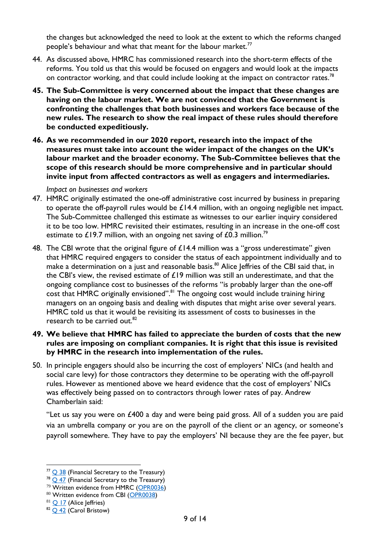the changes but acknowledged the need to look at the extent to which the reforms changed people's behaviour and what that meant for the labour market.<sup>77</sup>

- 44. As discussed above, HMRC has commissioned research into the short-term effects of the reforms. You told us that this would be focused on engagers and would look at the impacts on contractor working, and that could include looking at the impact on contractor rates.<sup>78</sup>
- **45. The Sub-Committee is very concerned about the impact that these changes are having on the labour market. We are not convinced that the Government is confronting the challenges that both businesses and workers face because of the new rules. The research to show the real impact of these rules should therefore be conducted expeditiously.**
- **46. As we recommended in our 2020 report, research into the impact of the measures must take into account the wider impact of the changes on the UK's labour market and the broader economy. The Sub-Committee believes that the scope of this research should be more comprehensive and in particular should invite input from affected contractors as well as engagers and intermediaries.**

*Impact on businesses and workers*

- 47. HMRC originally estimated the one-off administrative cost incurred by business in preparing to operate the off-payroll rules would be  $£14.4$  million, with an ongoing negligible net impact. The Sub-Committee challenged this estimate as witnesses to our earlier inquiry considered it to be too low. HMRC revisited their estimates, resulting in an increase in the one-off cost estimate to £19.7 million, with an ongoing net saving of £0.3 million.<sup>79</sup>
- 48. The CBI wrote that the original figure of £14.4 million was a "gross underestimate" given that HMRC required engagers to consider the status of each appointment individually and to make a determination on a just and reasonable basis. <sup>80</sup> Alice Jeffries of the CBI said that, in the CBI's view, the revised estimate of  $£19$  million was still an underestimate, and that the ongoing compliance cost to businesses of the reforms "is probably larger than the one-off cost that HMRC originally envisioned".<sup>81</sup> The ongoing cost would include training hiring managers on an ongoing basis and dealing with disputes that might arise over several years. HMRC told us that it would be revisiting its assessment of costs to businesses in the research to be carried out.<sup>82</sup>
- **49. We believe that HMRC has failed to appreciate the burden of costs that the new rules are imposing on compliant companies. It is right that this issue is revisited by HMRC in the research into implementation of the rules.**
- 50. In principle engagers should also be incurring the cost of employers' NICs (and health and social care levy) for those contractors they determine to be operating with the off-payroll rules. However as mentioned above we heard evidence that the cost of employers' NICs was effectively being passed on to contractors through lower rates of pay. Andrew Chamberlain said:

"Let us say you were on £400 a day and were being paid gross. All of a sudden you are paid via an umbrella company or you are on the payroll of the client or an agency, or someone's payroll somewhere. They have to pay the employers' NI because they are the fee payer, but

 $77$  O [38](https://committees.parliament.uk/oralevidence/3207/html/) (Financial Secretary to the Treasury)

 $78$  Q [47](https://committees.parliament.uk/oralevidence/3207/html/) (Financial Secretary to the Treasury)

<sup>&</sup>lt;sup>79</sup> Written evidence from HMRC [\(OPR0036\)](https://committees.parliament.uk/writtenevidence/40990/html/)

<sup>80</sup> Written evidence from CBI [\(OPR0038\)](https://committees.parliament.uk/writtenevidence/41076/html/)

 $81$  Q [17](https://committees.parliament.uk/oralevidence/3151/html/) (Alice Jeffries)

<sup>&</sup>lt;sup>82</sup> Q [42](https://committees.parliament.uk/oralevidence/3207/html/) (Carol Bristow)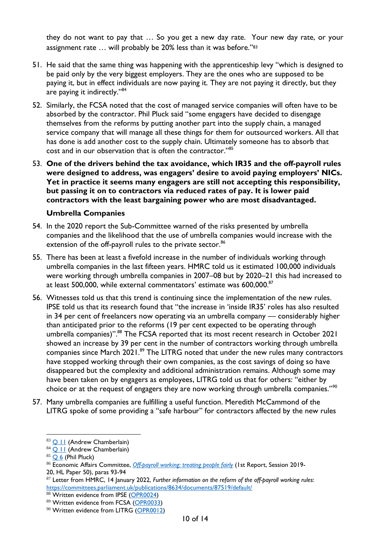they do not want to pay that … So you get a new day rate. Your new day rate, or your assignment rate … will probably be 20% less than it was before."<sup>83</sup>

- 51. He said that the same thing was happening with the apprenticeship levy "which is designed to be paid only by the very biggest employers. They are the ones who are supposed to be paying it, but in effect individuals are now paying it. They are not paying it directly, but they are paying it indirectly."<sup>84</sup>
- 52. Similarly, the FCSA noted that the cost of managed service companies will often have to be absorbed by the contractor. Phil Pluck said "some engagers have decided to disengage themselves from the reforms by putting another part into the supply chain, a managed service company that will manage all these things for them for outsourced workers. All that has done is add another cost to the supply chain. Ultimately someone has to absorb that cost and in our observation that is often the contractor."<sup>85</sup>
- 53. **One of the drivers behind the tax avoidance, which IR35 and the off-payroll rules were designed to address, was engagers' desire to avoid paying employers' NICs. Yet in practice it seems many engagers are still not accepting this responsibility, but passing it on to contractors via reduced rates of pay. It is lower paid contractors with the least bargaining power who are most disadvantaged.**

## **Umbrella Companies**

- 54. In the 2020 report the Sub-Committee warned of the risks presented by umbrella companies and the likelihood that the use of umbrella companies would increase with the extension of the off-payroll rules to the private sector.<sup>86</sup>
- 55. There has been at least a fivefold increase in the number of individuals working through umbrella companies in the last fifteen years. HMRC told us it estimated 100,000 individuals were working through umbrella companies in 2007–08 but by 2020–21 this had increased to at least 500,000, while external commentators' estimate was 600,000. $^{\mathrm{87}}$
- 56. Witnesses told us that this trend is continuing since the implementation of the new rules. IPSE told us that its research found that "the increase in 'inside IR35' roles has also resulted in 34 per cent of freelancers now operating via an umbrella company — considerably higher than anticipated prior to the reforms (19 per cent expected to be operating through umbrella companies)".<sup>88</sup> The FCSA reported that its most recent research in October 2021 showed an increase by 39 per cent in the number of contractors working through umbrella companies since March 2021.<sup>89</sup> The LITRG noted that under the new rules many contractors have stopped working through their own companies, as the cost savings of doing so have disappeared but the complexity and additional administration remains. Although some may have been taken on by engagers as employees, LITRG told us that for others: "either by choice or at the request of engagers they are now working through umbrella companies."<sup>90</sup>
- 57. Many umbrella companies are fulfilling a useful function. Meredith McCammond of the LITRG spoke of some providing a "safe harbour" for contractors affected by the new rules

<sup>83</sup> **Q [11](https://committees.parliament.uk/oralevidence/3150/html/)** (Andrew Chamberlain)

<sup>84</sup> **Q [11](https://committees.parliament.uk/oralevidence/3150/html/)** (Andrew Chamberlain)

 $85$  [Q](https://committees.parliament.uk/oralevidence/3150/html/) 6 (Phil Pluck)

<sup>86</sup> Economic Affairs Committee, *[Off-payroll working: treating people fairly](https://publications.parliament.uk/pa/ld5801/ldselect/ldeconaf/50/5002.htm)* (1st Report, Session 2019- 20, HL Paper 50), paras 93-94

<sup>87</sup> Letter from HMRC, 14 January 2022, *Further information on the reform of the off-payroll working rules*: <https://committees.parliament.uk/publications/8634/documents/87519/default/>

<sup>88</sup> Written evidence from IPSE [\(OPR0024\)](https://committees.parliament.uk/writtenevidence/40906/html/)

<sup>89</sup> Written evidence from FCSA [\(OPR0033\)](https://committees.parliament.uk/writtenevidence/40948/html/)

<sup>&</sup>lt;sup>90</sup> Written evidence from LITRG [\(OPR0012\)](https://committees.parliament.uk/writtenevidence/40835/html/)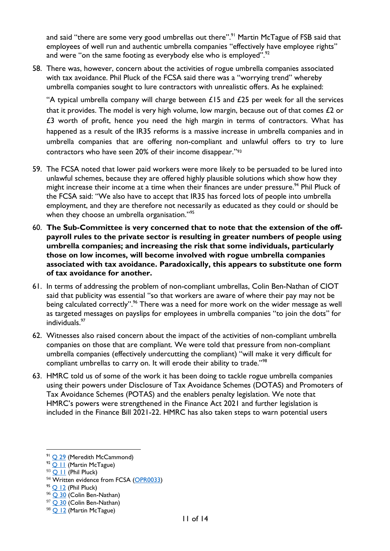and said "there are some very good umbrellas out there".<sup>91</sup> Martin McTague of FSB said that employees of well run and authentic umbrella companies "effectively have employee rights" and were "on the same footing as everybody else who is employed". $92$ 

58. There was, however, concern about the activities of rogue umbrella companies associated with tax avoidance. Phil Pluck of the FCSA said there was a "worrying trend" whereby umbrella companies sought to lure contractors with unrealistic offers. As he explained:

"A typical umbrella company will charge between  $£15$  and  $£25$  per week for all the services that it provides. The model is very high volume, low margin, because out of that comes  $£2$  or £3 worth of profit, hence you need the high margin in terms of contractors. What has happened as a result of the IR35 reforms is a massive increase in umbrella companies and in umbrella companies that are offering non-compliant and unlawful offers to try to lure contractors who have seen 20% of their income disappear."<sup>93</sup>

- 59. The FCSA noted that lower paid workers were more likely to be persuaded to be lured into unlawful schemes, because they are offered highly plausible solutions which show how they might increase their income at a time when their finances are under pressure.<sup>94</sup> Phil Pluck of the FCSA said: "We also have to accept that IR35 has forced lots of people into umbrella employment, and they are therefore not necessarily as educated as they could or should be when they choose an umbrella organisation."95
- 60. **The Sub-Committee is very concerned that to note that the extension of the offpayroll rules to the private sector is resulting in greater numbers of people using umbrella companies; and increasing the risk that some individuals, particularly those on low incomes, will become involved with rogue umbrella companies associated with tax avoidance. Paradoxically, this appears to substitute one form of tax avoidance for another.**
- 61. In terms of addressing the problem of non-compliant umbrellas, Colin Ben-Nathan of CIOT said that publicity was essential "so that workers are aware of where their pay may not be being calculated correctly".<sup>96</sup> There was a need for more work on the wider message as well as targeted messages on payslips for employees in umbrella companies "to join the dots" for individuals.<sup>97</sup>
- 62. Witnesses also raised concern about the impact of the activities of non-compliant umbrella companies on those that are compliant. We were told that pressure from non-compliant umbrella companies (effectively undercutting the compliant) "will make it very difficult for compliant umbrellas to carry on. It will erode their ability to trade."<sup>98</sup>
- 63. HMRC told us of some of the work it has been doing to tackle rogue umbrella companies using their powers under Disclosure of Tax Avoidance Schemes (DOTAS) and Promoters of Tax Avoidance Schemes (POTAS) and the enablers penalty legislation. We note that HMRC's powers were strengthened in the Finance Act 2021 and further legislation is included in the Finance Bill 2021-22. HMRC has also taken steps to warn potential users

<sup>91</sup> [Q 29](https://committees.parliament.uk/oralevidence/3151/html/) (Meredith McCammond)

 $92$   $\overline{Q}$  | | (Martin McTague)

 $93$  Q [11](https://committees.parliament.uk/oralevidence/3150/html/) (Phil Pluck)

<sup>&</sup>lt;sup>94</sup> Written evidence from FCSA [\(OPR0033\)](https://committees.parliament.uk/writtenevidence/40948/html/)

 $95$  O [12](https://committees.parliament.uk/oralevidence/3150/html/) (Phil Pluck)

<sup>&</sup>lt;sup>96</sup> Q [30](https://committees.parliament.uk/oralevidence/3151/html/) (Colin Ben-Nathan)

<sup>97</sup> Q [30](https://committees.parliament.uk/oralevidence/3151/html/) (Colin Ben-Nathan)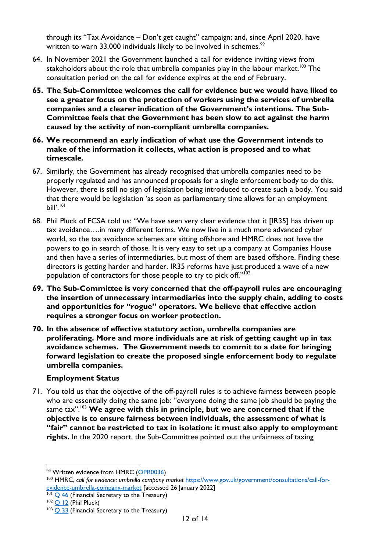through its "Tax Avoidance – Don't get caught" campaign; and, since April 2020, have written to warn 33,000 individuals likely to be involved in schemes.<sup>99</sup>

- 64. In November 2021 the Government launched a call for evidence inviting views from stakeholders about the role that umbrella companies play in the labour market.<sup>100</sup> The consultation period on the call for evidence expires at the end of February.
- **65. The Sub-Committee welcomes the call for evidence but we would have liked to see a greater focus on the protection of workers using the services of umbrella companies and a clearer indication of the Government's intentions. The Sub-Committee feels that the Government has been slow to act against the harm caused by the activity of non-compliant umbrella companies.**
- **66. We recommend an early indication of what use the Government intends to make of the information it collects, what action is proposed and to what timescale***.*
- 67. Similarly, the Government has already recognised that umbrella companies need to be properly regulated and has announced proposals for a single enforcement body to do this. However, there is still no sign of legislation being introduced to create such a body. You said that there would be legislation 'as soon as parliamentary time allows for an employment bill'.<sup>'01</sup>
- 68. Phil Pluck of FCSA told us: "We have seen very clear evidence that it [IR35] has driven up tax avoidance….in many different forms. We now live in a much more advanced cyber world, so the tax avoidance schemes are sitting offshore and HMRC does not have the powers to go in search of those. It is very easy to set up a company at Companies House and then have a series of intermediaries, but most of them are based offshore. Finding these directors is getting harder and harder. IR35 reforms have just produced a wave of a new population of contractors for those people to try to pick off."<sup>102</sup>
- **69. The Sub-Committee is very concerned that the off-payroll rules are encouraging the insertion of unnecessary intermediaries into the supply chain, adding to costs and opportunities for "rogue" operators. We believe that effective action requires a stronger focus on worker protection.**
- **70. In the absence of effective statutory action, umbrella companies are proliferating. More and more individuals are at risk of getting caught up in tax avoidance schemes. The Government needs to commit to a date for bringing forward legislation to create the proposed single enforcement body to regulate umbrella companies.**

## **Employment Status**

71. You told us that the objective of the off-payroll rules is to achieve fairness between people who are essentially doing the same job: "everyone doing the same job should be paying the same tax". <sup>103</sup> **We agree with this in principle, but we are concerned that if the objective is to ensure fairness between individuals, the assessment of what is "fair" cannot be restricted to tax in isolation: it must also apply to employment rights.** In the 2020 report, the Sub-Committee pointed out the unfairness of taxing

<sup>99</sup> Written evidence from HMRC [\(OPR0036\)](https://committees.parliament.uk/writtenevidence/40990/html/)

<sup>100</sup> HMRC, *call for evidence: umbrella company market* [https://www.gov.uk/government/consultations/call-for](https://www.gov.uk/government/consultations/call-for-evidence-umbrella-company-market)[evidence-umbrella-company-market](https://www.gov.uk/government/consultations/call-for-evidence-umbrella-company-market) [accessed 26 January 2022]

 $101$  Q [46](https://committees.parliament.uk/oralevidence/3207/html/) (Financial Secretary to the Treasury)

 $102$  Q [12](https://committees.parliament.uk/oralevidence/3150/html/) (Phil Pluck)

 $103$  Q [33](https://committees.parliament.uk/oralevidence/3207/html/) (Financial Secretary to the Treasury)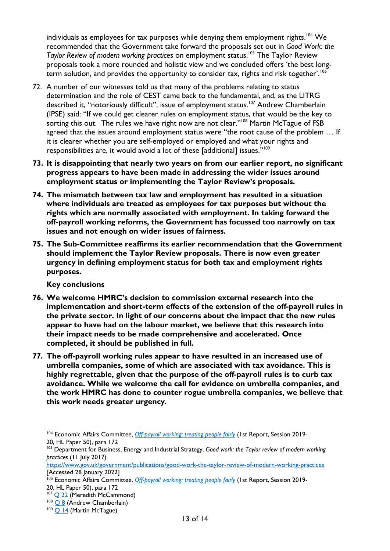individuals as employees for tax purposes while denying them employment rights.<sup>104</sup> We recommended that the Government take forward the proposals set out in *Good Work: the Taylor Review of modern working practices on employment status.<sup>105</sup> The Taylor Review* proposals took a more rounded and holistic view and we concluded offers 'the best longterm solution, and provides the opportunity to consider tax, rights and risk together'.<sup>106</sup>

- 72. A number of our witnesses told us that many of the problems relating to status determination and the role of CEST came back to the fundamental, and, as the LITRG described it, "notoriously difficult", issue of employment status.<sup>107</sup> Andrew Chamberlain (IPSE) said: "If we could get clearer rules on employment status, that would be the key to sorting this out. The rules we have right now are not clear."<sup>108</sup> Martin McTague of FSB agreed that the issues around employment status were "the root cause of the problem … If it is clearer whether you are self-employed or employed and what your rights and responsibilities are, it would avoid a lot of these [additional] issues."<sup>109</sup>
- **73. It is disappointing that nearly two years on from our earlier report, no significant progress appears to have been made in addressing the wider issues around employment status or implementing the Taylor Review's proposals.**
- **74. The mismatch between tax law and employment has resulted in a situation where individuals are treated as employees for tax purposes but without the rights which are normally associated with employment. In taking forward the off-payroll working reforms, the Government has focussed too narrowly on tax issues and not enough on wider issues of fairness.**
- **75. The Sub-Committee reaffirms its earlier recommendation that the Government should implement the Taylor Review proposals. There is now even greater urgency in defining employment status for both tax and employment rights purposes.**

**Key conclusions**

- **76. We welcome HMRC's decision to commission external research into the implementation and short-term effects of the extension of the off-payroll rules in the private sector. In light of our concerns about the impact that the new rules appear to have had on the labour market, we believe that this research into their impact needs to be made comprehensive and accelerated. Once completed, it should be published in full.**
- *77.* **The off-payroll working rules appear to have resulted in an increased use of umbrella companies, some of which are associated with tax avoidance. This is highly regrettable, given that the purpose of the off-payroll rules is to curb tax avoidance. While we welcome the call for evidence on umbrella companies, and the work HMRC has done to counter rogue umbrella companies, we believe that this work needs greater urgency***.*

```
108Q 8 (Andrew Chamberlain)
```
<sup>104</sup> Economic Affairs Committee, *[Off-payroll working: treating people fairly](https://publications.parliament.uk/pa/ld5801/ldselect/ldeconaf/50/5002.htm)* (1st Report, Session 2019- 20, HL Paper 50), para 172

<sup>105</sup> Department for Business, Energy and Industrial Strategy, *Good work: the Taylor review of modern working practices* (11 July 2017)

<https://www.gov.uk/government/publications/good-work-the-taylor-review-of-modern-working-practices> [Accessed 28 January 2022]

<sup>106</sup> Economic Affairs Committee, *[Off-payroll working: treating people fairly](https://publications.parliament.uk/pa/ld5801/ldselect/ldeconaf/50/5002.htm)* (1st Report, Session 2019- 20, HL Paper 50), para 172

<sup>&</sup>lt;sup>107</sup> Q [22](https://committees.parliament.uk/oralevidence/3151/html/) (Meredith McCammond)

 $109$  Q [14](https://committees.parliament.uk/oralevidence/3150/html/) (Martin McTague)